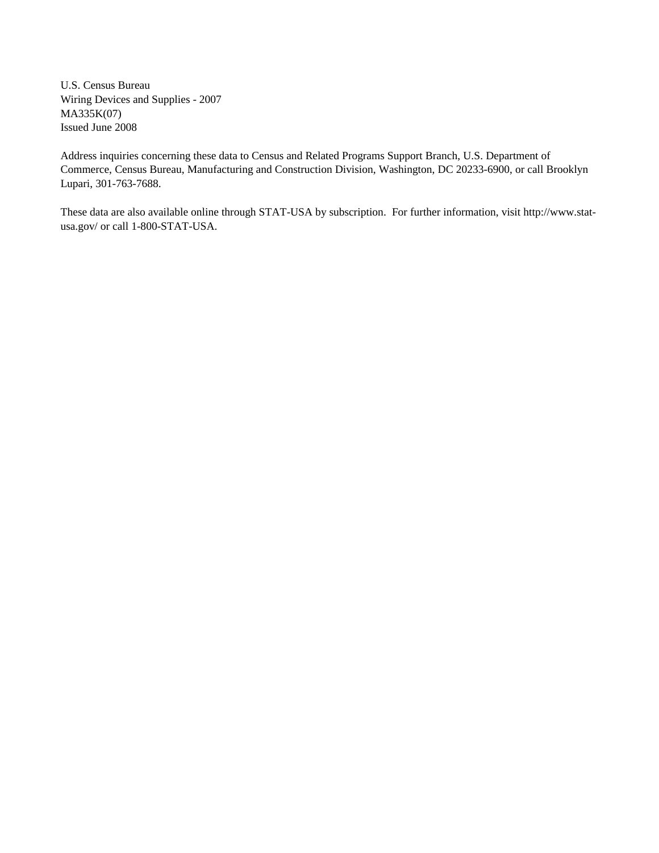U.S. Census Bureau Wiring Devices and Supplies - 2007 MA335K(07) Issued June 2008

Address inquiries concerning these data to Census and Related Programs Support Branch, U.S. Department of Commerce, Census Bureau, Manufacturing and Construction Division, Washington, DC 20233-6900, or call Brooklyn Lupari, 301-763-7688.

These data are also available online through STAT-USA by subscription. For further information, visit http://www.statusa.gov/ or call 1-800-STAT-USA.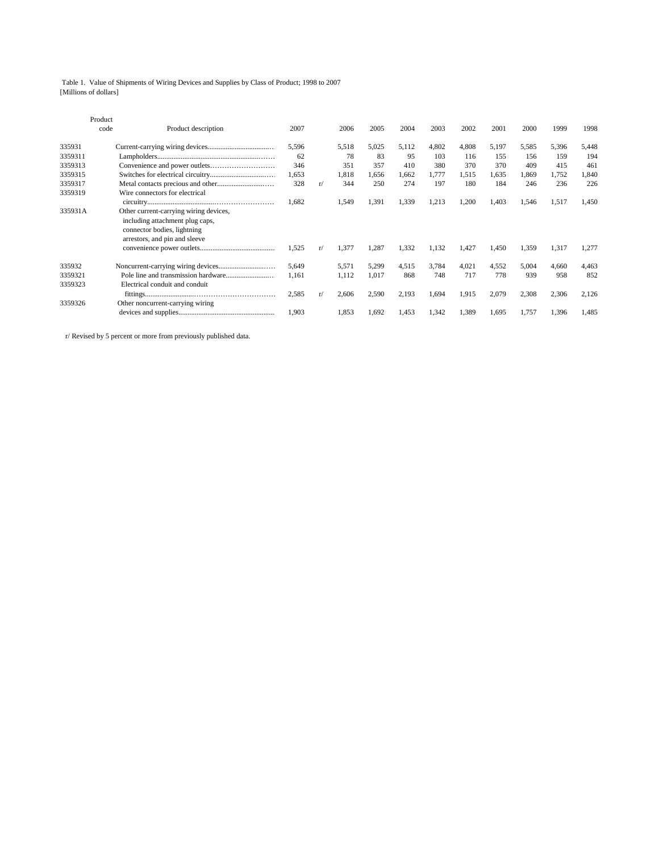Table 1. Value of Shipments of Wiring Devices and Supplies by Class of Product; 1998 to 2007 [Millions of dollars]

|         | Product<br>code | Product description                    | 2007  |    | 2006  | 2005  | 2004  | 2003  | 2002  | 2001  | 2000  | 1999  | 1998  |
|---------|-----------------|----------------------------------------|-------|----|-------|-------|-------|-------|-------|-------|-------|-------|-------|
| 335931  |                 |                                        | 5,596 |    | 5,518 | 5,025 | 5,112 | 4,802 | 4,808 | 5,197 | 5,585 | 5,396 | 5,448 |
| 3359311 |                 |                                        | 62    |    | 78    | 83    | 95    | 103   | 116   | 155   | 156   | 159   | 194   |
| 3359313 |                 |                                        | 346   |    | 351   | 357   | 410   | 380   | 370   | 370   | 409   | 415   | 461   |
| 3359315 |                 |                                        | 1,653 |    | 1,818 | 1,656 | 1,662 | 1,777 | 1,515 | 1,635 | l.869 | 1,752 | 1,840 |
| 3359317 |                 |                                        | 328   | r/ | 344   | 250   | 274   | 197   | 180   | 184   | 246   | 236   | 226   |
| 3359319 |                 | Wire connectors for electrical         |       |    |       |       |       |       |       |       |       |       |       |
|         |                 |                                        | 1,682 |    | 1,549 | 1,391 | 1,339 | 1,213 | 1,200 | 1,403 | 1,546 | 1,517 | 1,450 |
| 335931A |                 | Other current-carrying wiring devices, |       |    |       |       |       |       |       |       |       |       |       |
|         |                 | including attachment plug caps,        |       |    |       |       |       |       |       |       |       |       |       |
|         |                 | connector bodies, lightning            |       |    |       |       |       |       |       |       |       |       |       |
|         |                 | arrestors, and pin and sleeve          |       |    |       |       |       |       |       |       |       |       |       |
|         |                 |                                        | 1,525 | r/ | 1,377 | 1,287 | 1,332 | 1,132 | 1.427 | 1.450 | 1,359 | 1,317 | 1.277 |
| 335932  |                 |                                        | 5,649 |    | 5,571 | 5,299 | 4,515 | 3,784 | 4,021 | 4,552 | 5,004 | 4,660 | 4,463 |
| 3359321 |                 |                                        | 1,161 |    | 1,112 | 1,017 | 868   | 748   | 717   | 778   | 939   | 958   | 852   |
| 3359323 |                 | Electrical conduit and conduit         |       |    |       |       |       |       |       |       |       |       |       |
|         |                 |                                        | 2,585 | r/ | 2,606 | 2,590 | 2,193 | 1,694 | 1,915 | 2,079 | 2,308 | 2,306 | 2,126 |
| 3359326 |                 | Other noncurrent-carrying wiring       |       |    |       |       |       |       |       |       |       |       |       |
|         |                 |                                        | 1,903 |    | 1,853 | 1,692 | 1.453 | 1,342 | 1,389 | 1,695 | 1.757 | 1,396 | 1.485 |
|         |                 |                                        |       |    |       |       |       |       |       |       |       |       |       |

r/ Revised by 5 percent or more from previously published data.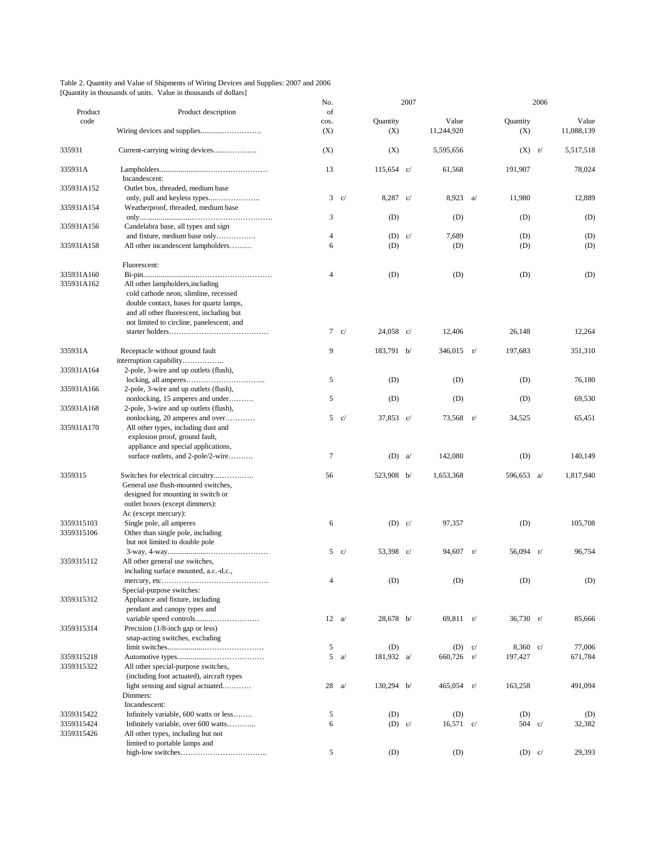|                                                                 | Table 2. Quantity and Value of Shipments of Wiring Devices and Supplies: 2007 and 2006 |  |
|-----------------------------------------------------------------|----------------------------------------------------------------------------------------|--|
| [Quantity in thousands of units. Value in thousands of dollars] |                                                                                        |  |

|                          |                                                                                                                                                                          | No.            |               |                    | 2007 |                      |    |                    | 2006 |                     |
|--------------------------|--------------------------------------------------------------------------------------------------------------------------------------------------------------------------|----------------|---------------|--------------------|------|----------------------|----|--------------------|------|---------------------|
| Product                  | Product description                                                                                                                                                      | of             |               |                    |      |                      |    |                    |      |                     |
| code                     |                                                                                                                                                                          | cos.<br>(X)    |               | Quantity<br>(X)    |      | Value<br>11,244,920  |    | Quantity<br>(X)    |      | Value<br>11,088,139 |
| 335931                   |                                                                                                                                                                          | (X)            |               | (X)                |      | 5,595,656            |    | $(X)$ r/           |      | 5,517,518           |
| 335931A                  | Incandescent:                                                                                                                                                            | 13             |               | $115,654$ c/       |      | 61,568               |    | 191,907            |      | 78,024              |
| 335931A152               | Outlet box, threaded, medium base                                                                                                                                        | $\mathbf{3}$   | c/            | $8,287 \text{ c}/$ |      | 8,923                | a  | 11,980             |      | 12,889              |
| 335931A154               | Weatherproof, threaded, medium base                                                                                                                                      | 3              |               |                    |      |                      |    |                    |      |                     |
| 335931A156               | Candelabra base, all types and sign<br>and fixture, medium base only                                                                                                     | $\overline{4}$ |               | (D)<br>$(D)$ c/    |      | (D)<br>7,689         |    | (D)                |      | (D)                 |
| 335931A158               | All other incandescent lampholders                                                                                                                                       | 6              |               | (D)                |      | (D)                  |    | (D)<br>(D)         |      | (D)<br>(D)          |
|                          | Fluorescent:                                                                                                                                                             |                |               |                    |      |                      |    |                    |      |                     |
| 335931A160               |                                                                                                                                                                          | $\overline{4}$ |               | (D)                |      | (D)                  |    | (D)                |      | (D)                 |
| 335931A162               | All other lampholders, including<br>cold cathode neon, slimline, recessed<br>double contact, bases for quartz lamps,<br>and all other fluorescent, including but         |                |               |                    |      |                      |    |                    |      |                     |
|                          | not limited to circline, panelescent, and                                                                                                                                |                |               |                    |      |                      |    |                    |      |                     |
|                          |                                                                                                                                                                          | $\tau$         | c/            | $24,058$ c/        |      | 12,406               |    | 26,148             |      | 12,264              |
| 335931A                  | Receptacle without ground fault<br>interruption capability                                                                                                               | 9              |               | 183,791 b/         |      | $346,015$ r/         |    | 197,683            |      | 351,310             |
| 335931A164               | 2-pole, 3-wire and up outlets (flush),                                                                                                                                   | 5              |               | (D)                |      | (D)                  |    | (D)                |      | 76,180              |
| 335931A166               | 2-pole, 3-wire and up outlets (flush),<br>nonlocking, 15 amperes and under                                                                                               | 5              |               | (D)                |      | (D)                  |    | (D)                |      | 69,530              |
| 335931A168               | 2-pole, 3-wire and up outlets (flush),<br>nonlocking, 20 amperes and over                                                                                                |                | $5 \quad c/$  | 37,853 c/          |      | 73,568 r/            |    | 34,525             |      | 65,451              |
| 335931A170               | All other types, including dust and<br>explosion proof, ground fault,<br>appliance and special applications,                                                             |                |               |                    |      |                      |    |                    |      |                     |
|                          | surface outlets, and 2-pole/2-wire                                                                                                                                       | $\tau$         |               | $(D)$ a            |      | 142,080              |    | (D)                |      | 140,149             |
| 3359315                  | Switches for electrical circuitry<br>General use flush-mounted switches,<br>designed for mounting in switch or<br>outlet boxes (except dimmers):<br>Ac (except mercury): | 56             |               | 523,908 b/         |      | 1,653,368            |    | 596,653 a/         |      | 1,817,940           |
| 3359315103<br>3359315106 | Single pole, all amperes<br>Other than single pole, including<br>but not limited to double pole                                                                          | 6              |               | $(D)$ c/           |      | 97,357               |    | (D)                |      | 105,708             |
| 3359315112               | All other general use switches,                                                                                                                                          |                | $5 \quad c/$  | 53,398 c/          |      | 94,607               | r/ | $56,094$ r/        |      | 96,754              |
|                          | including surface mounted, a.c.-d.c.,<br>Special-purpose switches:                                                                                                       | 4              |               | (D)                |      | (D)                  |    | (D)                |      | (D)                 |
| 3359315312               | Appliance and fixture, including<br>pendant and canopy types and                                                                                                         |                | $12 \quad a/$ | 28,678 b/          |      | $69,811$ r/          |    | $36,730$ r/        |      | 85,666              |
| 3359315314               | Precision (1/8-inch gap or less)<br>snap-acting switches, excluding                                                                                                      |                |               |                    |      |                      |    |                    |      |                     |
|                          |                                                                                                                                                                          | 5              |               | (D)                |      | (D)                  | c/ | $8,360 \text{ c}/$ |      | 77,006              |
| 3359315218<br>3359315322 | All other special-purpose switches,<br>(including foot actuated), aircraft types                                                                                         | 5              | a             | 181,932 a/         |      | $660,726$ r/         |    | 197,427            |      | 671,784             |
|                          | light sensing and signal actuated<br>Dimmers:<br>Incandescent:                                                                                                           | 28             | a             | 130,294 b/         |      | $465,054 \quad r/$   |    | 163,258            |      | 491,094             |
|                          |                                                                                                                                                                          |                |               |                    |      |                      |    |                    |      |                     |
| 3359315422<br>3359315424 | Infinitely variable, 600 watts or less<br>Infinitely variable, over 600 watts                                                                                            | 5<br>6         |               | (D)<br>$(D)$ c/    |      | (D)<br>$16,571 \nc/$ |    | (D)<br>504 $c/$    |      | (D)<br>32,382       |
| 3359315426               | All other types, including but not<br>limited to portable lamps and                                                                                                      |                |               |                    |      |                      |    |                    |      |                     |
|                          |                                                                                                                                                                          | 5              |               | (D)                |      | (D)                  |    | $(D)$ c/           |      | 29,393              |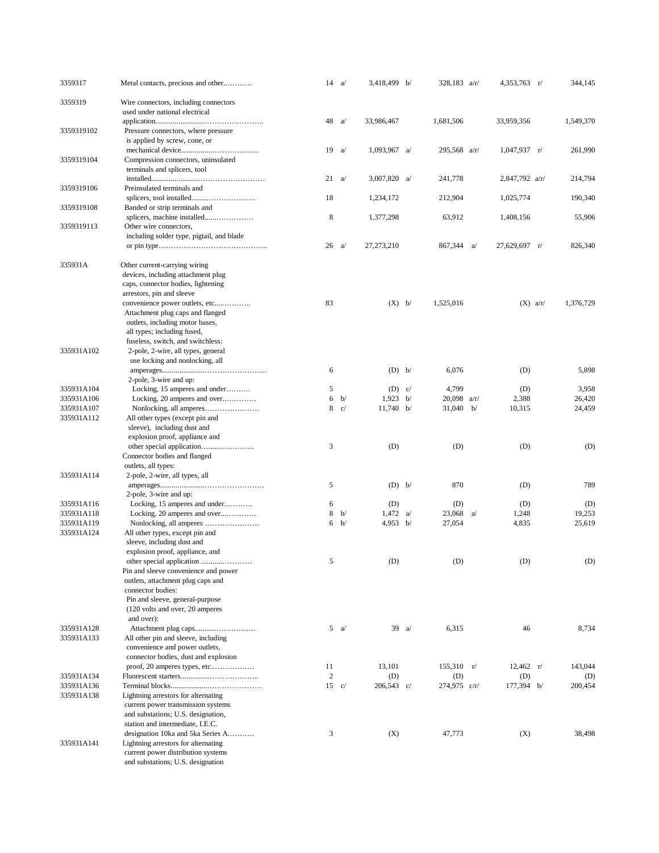| 3359317                  | Metal contacts, precious and other                                                             | 14               | a             | 3,418,499 b/        |                | 328,183 $a/r/$      | $4,353,763$ r/        |            | 344,145        |
|--------------------------|------------------------------------------------------------------------------------------------|------------------|---------------|---------------------|----------------|---------------------|-----------------------|------------|----------------|
| 3359319                  | Wire connectors, including connectors<br>used under national electrical                        |                  |               |                     |                |                     |                       |            |                |
| 3359319102               | Pressure connectors, where pressure<br>is applied by screw, cone, or                           | 48               | a             | 33,986,467          |                | 1,681,506           | 33,959,356            |            | 1,549,370      |
| 3359319104               | Compression connectors, uninsulated<br>terminals and splicers, tool                            | 19               | a             | 1,093,967 $a/$      |                | 295,568 a/r/        | $1,047,937 \text{ r}$ |            | 261,990        |
| 3359319106               | Preinsulated terminals and                                                                     | 21               | a             | 3,007,820 $a/$      |                | 241,778             | $2,847,792$ a/r/      |            | 214,794        |
| 3359319108               | Banded or strip terminals and                                                                  | 18               |               | 1,234,172           |                | 212,904             | 1,025,774             |            | 190,340        |
| 3359319113               | Other wire connectors,                                                                         | 8                |               | 1,377,298           |                | 63,912              | 1,408,156             |            | 55,906         |
|                          | including solder type, pigtail, and blade                                                      | 26               | a             | 27,273,210          |                | 867,344 a/          | 27,629,697 r/         |            | 826,340        |
| 335931A                  | Other current-carrying wiring<br>devices, including attachment plug                            |                  |               |                     |                |                     |                       |            |                |
|                          | caps, connector bodies, lightening                                                             |                  |               |                     |                |                     |                       |            |                |
|                          | arrestors, pin and sleeve                                                                      |                  |               |                     |                |                     |                       |            |                |
|                          | convenience power outlets, etc                                                                 | 83               |               | $(X)$ b/            |                | 1,525,016           |                       | $(X)$ a/r/ | 1,376,729      |
|                          | Attachment plug caps and flanged                                                               |                  |               |                     |                |                     |                       |            |                |
|                          | outlets, including motor bases,                                                                |                  |               |                     |                |                     |                       |            |                |
|                          | all types; including fused,                                                                    |                  |               |                     |                |                     |                       |            |                |
|                          | fuseless, switch, and switchless:                                                              |                  |               |                     |                |                     |                       |            |                |
| 335931A102               | 2-pole, 2-wire, all types, general                                                             |                  |               |                     |                |                     |                       |            |                |
|                          | use locking and nonlocking, all                                                                |                  |               |                     |                |                     |                       |            |                |
|                          |                                                                                                | 6                |               | $(D)$ b/            |                | 6,076               | (D)                   |            | 5,898          |
| 335931A104               | 2-pole, 3-wire and up:                                                                         | 5                |               | $(D)$ c/            |                | 4,799               | (D)                   |            | 3,958          |
| 335931A106               | Locking, 15 amperes and under<br>Locking, 20 amperes and over                                  | 6                | b/            | $1,923 \text{ b}$   |                | $20,098$ a/r/       | 2,388                 |            | 26,420         |
| 335931A107               |                                                                                                | 8                | c/            | $11,740$ b/         |                | $31,040$ b/         | 10,315                |            | 24,459         |
| 335931A112               | All other types (except pin and                                                                |                  |               |                     |                |                     |                       |            |                |
|                          | sleeve), including dust and                                                                    |                  |               |                     |                |                     |                       |            |                |
|                          | explosion proof, appliance and                                                                 |                  |               |                     |                |                     |                       |            |                |
|                          |                                                                                                | 3                |               | (D)                 |                | (D)                 | (D)                   |            | (D)            |
|                          | Connector bodies and flanged                                                                   |                  |               |                     |                |                     |                       |            |                |
|                          | outlets, all types:                                                                            |                  |               |                     |                |                     |                       |            |                |
| 335931A114               | 2-pole, 2-wire, all types, all                                                                 | 5                |               | $(D)$ b/            |                | 870                 |                       |            | 789            |
|                          | 2-pole, 3-wire and up:                                                                         |                  |               |                     |                |                     | (D)                   |            |                |
| 335931A116               | Locking, 15 amperes and under                                                                  | 6                |               | (D)                 |                | (D)                 | (D)                   |            | (D)            |
| 335931A118               | Locking, 20 amperes and over                                                                   | $\,$ 8 $\,$      | b/            | 1,472 $a/$          |                | $23,068$ a/         | 1,248                 |            | 19,253         |
| 335931A119               |                                                                                                | 6                | b/            | 4,953 $b/$          |                | 27,054              | 4,835                 |            | 25,619         |
| 335931A124               | All other types, except pin and                                                                |                  |               |                     |                |                     |                       |            |                |
|                          | sleeve, including dust and                                                                     |                  |               |                     |                |                     |                       |            |                |
|                          | explosion proof, appliance, and                                                                |                  |               |                     |                |                     |                       |            |                |
|                          |                                                                                                | 5                |               | (D)                 |                | (D)                 | (D)                   |            | (D)            |
|                          | Pin and sleeve convenience and power<br>outlets, attachment plug caps and<br>connector bodies: |                  |               |                     |                |                     |                       |            |                |
|                          | Pin and sleeve, general-purpose                                                                |                  |               |                     |                |                     |                       |            |                |
|                          | (120 volts and over, 20 amperes<br>and over):                                                  |                  |               |                     |                |                     |                       |            |                |
| 335931A128               |                                                                                                |                  | $5 \alpha$    |                     | $39 \text{ a}$ | 6,315               | 46                    |            | 8,734          |
| 335931A133               | All other pin and sleeve, including                                                            |                  |               |                     |                |                     |                       |            |                |
|                          | convenience and power outlets,                                                                 |                  |               |                     |                |                     |                       |            |                |
|                          | connector bodies, dust and explosion                                                           |                  |               |                     |                |                     |                       |            |                |
|                          |                                                                                                | 11               |               | 13,101              |                | $155,310 \t r/$     | $12,462 \quad r/$     |            | 143,044        |
| 335931A134<br>335931A136 |                                                                                                | $\boldsymbol{2}$ | $15 \quad c/$ | (D)<br>$206,543$ c/ |                | (D)<br>274,975 c/r/ | (D)<br>177,394 b/     |            | (D)<br>200,454 |
| 335931A138               | Lightning arrestors for alternating                                                            |                  |               |                     |                |                     |                       |            |                |
|                          | current power transmission systems                                                             |                  |               |                     |                |                     |                       |            |                |
|                          | and substations; U.S. designation,                                                             |                  |               |                     |                |                     |                       |            |                |
|                          | station and intermediate, I.E.C.                                                               |                  |               |                     |                |                     |                       |            |                |
|                          | designation 10ka and 5ka Series A                                                              | 3                |               | (X)                 |                | 47,773              | (X)                   |            | 38,498         |
| 335931A141               | Lightning arrestors for alternating                                                            |                  |               |                     |                |                     |                       |            |                |
|                          | current power distribution systems                                                             |                  |               |                     |                |                     |                       |            |                |
|                          | and substations; U.S. designation                                                              |                  |               |                     |                |                     |                       |            |                |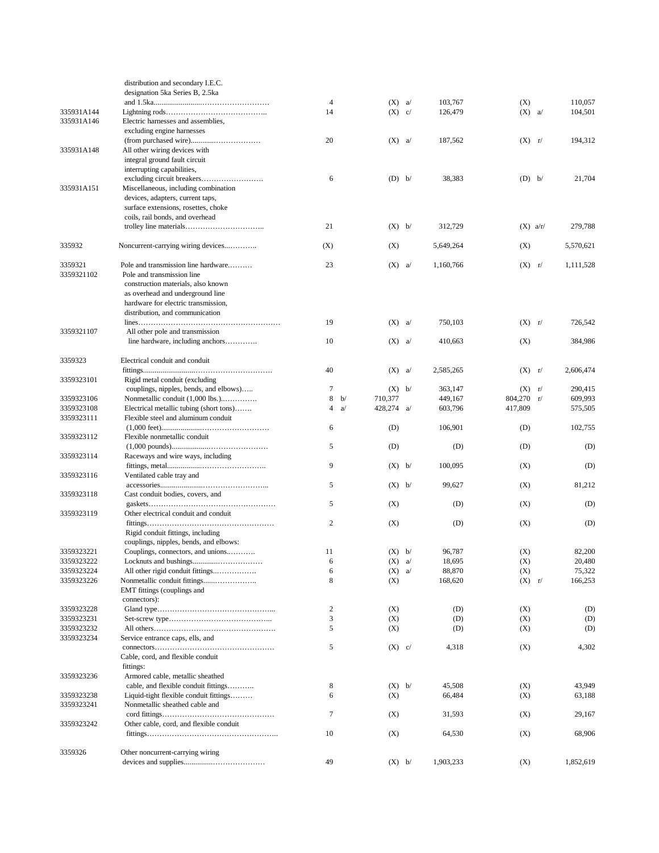|            | distribution and secondary I.E.C.       |                  |    |              |   |           |            |           |
|------------|-----------------------------------------|------------------|----|--------------|---|-----------|------------|-----------|
|            | designation 5ka Series B, 2.5ka         |                  |    |              |   |           |            |           |
|            |                                         | $\overline{4}$   |    | (X)          | a | 103,767   | (X)        | 110,057   |
| 335931A144 |                                         | 14               |    | $(X)$ c/     |   | 126,479   | $(X)$ a/   | 104,501   |
| 335931A146 | Electric harnesses and assemblies,      |                  |    |              |   |           |            |           |
|            | excluding engine harnesses              |                  |    |              |   |           |            |           |
|            |                                         | 20               |    | $(X)$ a/     |   | 187,562   | $(X)$ $r/$ | 194,312   |
|            |                                         |                  |    |              |   |           |            |           |
| 335931A148 | All other wiring devices with           |                  |    |              |   |           |            |           |
|            | integral ground fault circuit           |                  |    |              |   |           |            |           |
|            | interrupting capabilities,              |                  |    |              |   |           |            |           |
|            |                                         | 6                |    | $(D)$ b/     |   | 38,383    | $(D)$ b/   | 21,704    |
| 335931A151 | Miscellaneous, including combination    |                  |    |              |   |           |            |           |
|            | devices, adapters, current taps,        |                  |    |              |   |           |            |           |
|            | surface extensions, rosettes, choke     |                  |    |              |   |           |            |           |
|            | coils, rail bonds, and overhead         |                  |    |              |   |           |            |           |
|            |                                         | 21               |    | $(X)$ b/     |   | 312,729   | $(X)$ a/r/ | 279,788   |
|            |                                         |                  |    |              |   |           |            |           |
|            |                                         |                  |    |              |   |           |            |           |
| 335932     | Noncurrent-carrying wiring devices      | (X)              |    | (X)          |   | 5,649,264 | (X)        | 5,570,621 |
|            |                                         |                  |    |              |   |           |            |           |
| 3359321    | Pole and transmission line hardware     | 23               |    | (X)          | a | 1,160,766 | $(X)$ r/   | 1,111,528 |
| 3359321102 | Pole and transmission line              |                  |    |              |   |           |            |           |
|            | construction materials, also known      |                  |    |              |   |           |            |           |
|            | as overhead and underground line        |                  |    |              |   |           |            |           |
|            | hardware for electric transmission,     |                  |    |              |   |           |            |           |
|            |                                         |                  |    |              |   |           |            |           |
|            | distribution, and communication         |                  |    |              |   |           |            |           |
|            |                                         | 19               |    | $(X)$ a/     |   | 750,103   | $(X)$ $r/$ | 726,542   |
| 3359321107 | All other pole and transmission         |                  |    |              |   |           |            |           |
|            | line hardware, including anchors        | 10               |    | $(X)$ a/     |   | 410,663   | (X)        | 384,986   |
|            |                                         |                  |    |              |   |           |            |           |
| 3359323    | Electrical conduit and conduit          |                  |    |              |   |           |            |           |
|            |                                         | 40               |    | $(X)$ a/     |   | 2,585,265 | $(X)$ r/   | 2,606,474 |
| 3359323101 | Rigid metal conduit (excluding          |                  |    |              |   |           |            |           |
|            | couplings, nipples, bends, and elbows)  | $\tau$           |    | $(X)$ b/     |   | 363,147   | $(X)$ r/   | 290,415   |
|            | Nonmetallic conduit (1,000 lbs.)        | 8                | b/ | 710,377      |   | 449,167   | 804,270 r/ | 609,993   |
| 3359323106 |                                         |                  |    |              |   |           |            |           |
| 3359323108 | Electrical metallic tubing (short tons) | 4                | a  | 428,274 $a/$ |   | 603,796   | 417,809    | 575,505   |
| 3359323111 | Flexible steel and aluminum conduit     |                  |    |              |   |           |            |           |
|            |                                         | 6                |    | (D)          |   | 106,901   | (D)        | 102,755   |
| 3359323112 | Flexible nonmetallic conduit            |                  |    |              |   |           |            |           |
|            |                                         | 5                |    | (D)          |   | (D)       | (D)        | (D)       |
| 3359323114 | Raceways and wire ways, including       |                  |    |              |   |           |            |           |
|            |                                         | 9                |    | $(X)$ b/     |   | 100,095   | (X)        | (D)       |
| 3359323116 | Ventilated cable tray and               |                  |    |              |   |           |            |           |
|            |                                         | 5                |    | $(X)$ b/     |   | 99,627    |            | 81,212    |
|            |                                         |                  |    |              |   |           | (X)        |           |
| 3359323118 | Cast conduit bodies, covers, and        |                  |    |              |   |           |            |           |
|            |                                         | 5                |    | (X)          |   | (D)       | (X)        | (D)       |
| 3359323119 | Other electrical conduit and conduit    |                  |    |              |   |           |            |           |
|            |                                         | 2                |    | (X)          |   | (D)       | (X)        | (D)       |
|            | Rigid conduit fittings, including       |                  |    |              |   |           |            |           |
|            | couplings, nipples, bends, and elbows:  |                  |    |              |   |           |            |           |
| 3359323221 | Couplings, connectors, and unions       | 11               |    | $(X)$ b/     |   | 96,787    | (X)        | 82,200    |
| 3359323222 |                                         | 6                |    | $(X)$ a/     |   | 18,695    | (X)        | 20,480    |
|            | All other rigid conduit fittings        |                  |    |              |   |           |            |           |
| 3359323224 |                                         | 6                |    | $(X)$ a/     |   | 88,870    | (X)        | 75,322    |
| 3359323226 |                                         | 8                |    | (X)          |   | 168,620   | $(X)$ $r/$ | 166,253   |
|            | EMT fittings (couplings and             |                  |    |              |   |           |            |           |
|            | connectors):                            |                  |    |              |   |           |            |           |
| 3359323228 |                                         | $\boldsymbol{2}$ |    | (X)          |   | (D)       | (X)        | (D)       |
| 3359323231 |                                         | 3                |    | (X)          |   | (D)       | (X)        | (D)       |
| 3359323232 |                                         | 5                |    | (X)          |   | (D)       | (X)        | (D)       |
| 3359323234 | Service entrance caps, ells, and        |                  |    |              |   |           |            |           |
|            |                                         | 5                |    | $(X)$ c/     |   | 4,318     | (X)        | 4,302     |
|            |                                         |                  |    |              |   |           |            |           |
|            | Cable, cord, and flexible conduit       |                  |    |              |   |           |            |           |
|            | fittings:                               |                  |    |              |   |           |            |           |
| 3359323236 | Armored cable, metallic sheathed        |                  |    |              |   |           |            |           |
|            | cable, and flexible conduit fittings    | 8                |    | $(X)$ b/     |   | 45,508    | (X)        | 43,949    |
| 3359323238 | Liquid-tight flexible conduit fittings  | 6                |    | (X)          |   | 66,484    | (X)        | 63,188    |
| 3359323241 | Nonmetallic sheathed cable and          |                  |    |              |   |           |            |           |
|            |                                         | 7                |    | (X)          |   | 31,593    | (X)        | 29,167    |
| 3359323242 | Other cable, cord, and flexible conduit |                  |    |              |   |           |            |           |
|            |                                         | 10               |    | (X)          |   | 64,530    | (X)        | 68,906    |
|            |                                         |                  |    |              |   |           |            |           |
|            |                                         |                  |    |              |   |           |            |           |
| 3359326    | Other noncurrent-carrying wiring        |                  |    |              |   |           |            |           |
|            |                                         | 49               |    | $(X)$ b/     |   | 1,903,233 | (X)        | 1,852,619 |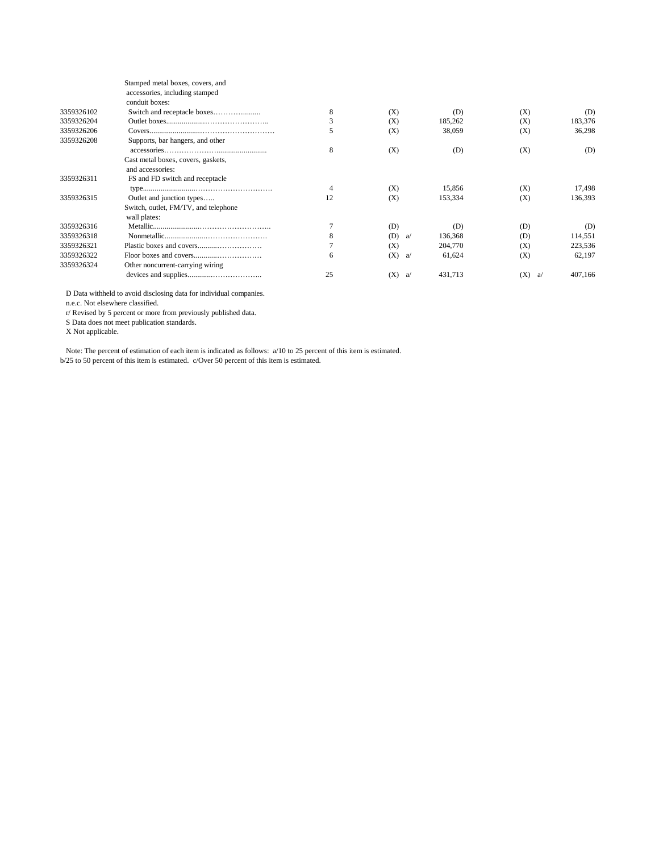|            | Stamped metal boxes, covers, and     |    |           |         |          |         |
|------------|--------------------------------------|----|-----------|---------|----------|---------|
|            | accessories, including stamped       |    |           |         |          |         |
|            | conduit boxes:                       |    |           |         |          |         |
| 3359326102 | Switch and receptacle boxes          | 8  | (X)       | (D)     | (X)      | (D)     |
| 3359326204 |                                      | 3  | (X)       | 185,262 | (X)      | 183,376 |
| 3359326206 |                                      | 5  | (X)       | 38,059  | (X)      | 36,298  |
| 3359326208 | Supports, bar hangers, and other     |    |           |         |          |         |
|            |                                      | 8  | (X)       | (D)     | (X)      | (D)     |
|            | Cast metal boxes, covers, gaskets,   |    |           |         |          |         |
|            | and accessories:                     |    |           |         |          |         |
| 3359326311 | FS and FD switch and receptacle      |    |           |         |          |         |
|            |                                      | 4  | (X)       | 15,856  | (X)      | 17,498  |
| 3359326315 | Outlet and junction types            | 12 | (X)       | 153,334 | (X)      | 136,393 |
|            | Switch, outlet, FM/TV, and telephone |    |           |         |          |         |
|            | wall plates:                         |    |           |         |          |         |
| 3359326316 |                                      |    | (D)       | (D)     | (D)      | (D)     |
| 3359326318 |                                      | 8  | (D)<br>a/ | 136,368 | (D)      | 114,551 |
| 3359326321 |                                      |    | (X)       | 204,770 | (X)      | 223,536 |
| 3359326322 |                                      | 6  | (X)<br>a/ | 61,624  | (X)      | 62,197  |
| 3359326324 | Other noncurrent-carrying wiring     |    |           |         |          |         |
|            |                                      | 25 | (X)<br>a/ | 431,713 | (X)<br>a | 407,166 |
|            |                                      |    |           |         |          |         |

D Data withheld to avoid disclosing data for individual companies.

n.e.c. Not elsewhere classified.

r/ Revised by 5 percent or more from previously published data.

S Data does not meet publication standards.

X Not applicable.

 Note: The percent of estimation of each item is indicated as follows: a/10 to 25 percent of this item is estimated. b/25 to 50 percent of this item is estimated. c/Over 50 percent of this item is estimated.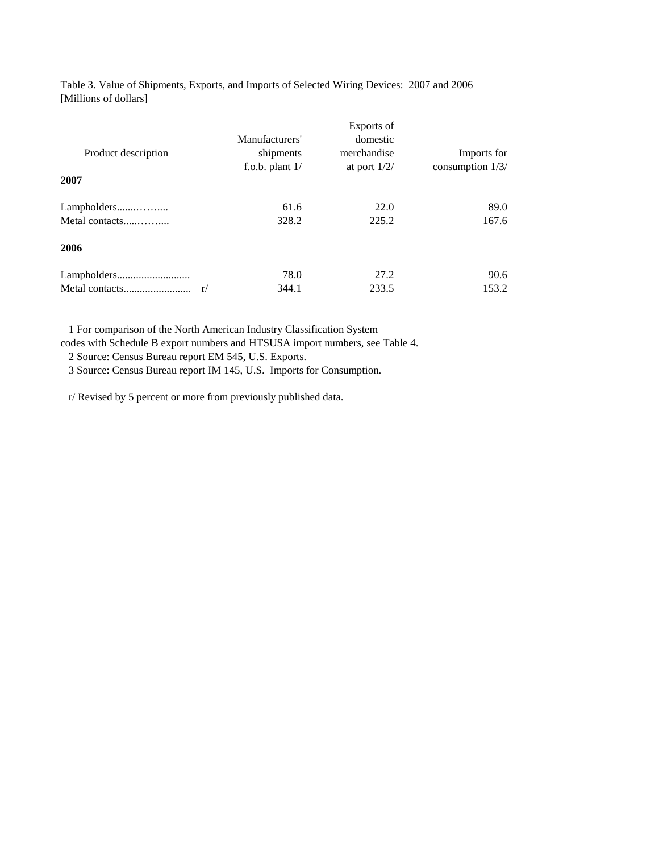Table 3. Value of Shipments, Exports, and Imports of Selected Wiring Devices: 2007 and 2006 [Millions of dollars]

| Product description  | Manufacturers'<br>shipments<br>f.o.b. plant $1/$ | Exports of<br>domestic<br>merchandise<br>at port $1/2/$ | Imports for<br>consumption 1/3/ |
|----------------------|--------------------------------------------------|---------------------------------------------------------|---------------------------------|
| 2007                 |                                                  |                                                         |                                 |
| Lampholders          | 61.6                                             | 22.0                                                    | 89.0                            |
| Metal contacts       | 328.2                                            | 225.2                                                   | 167.6                           |
| 2006                 |                                                  |                                                         |                                 |
|                      | 78.0                                             | 27.2                                                    | 90.6                            |
| Metal contacts<br>r/ | 344.1                                            | 233.5                                                   | 153.2                           |

 1 For comparison of the North American Industry Classification System codes with Schedule B export numbers and HTSUSA import numbers, see Table 4.

2 Source: Census Bureau report EM 545, U.S. Exports.

3 Source: Census Bureau report IM 145, U.S. Imports for Consumption.

r/ Revised by 5 percent or more from previously published data.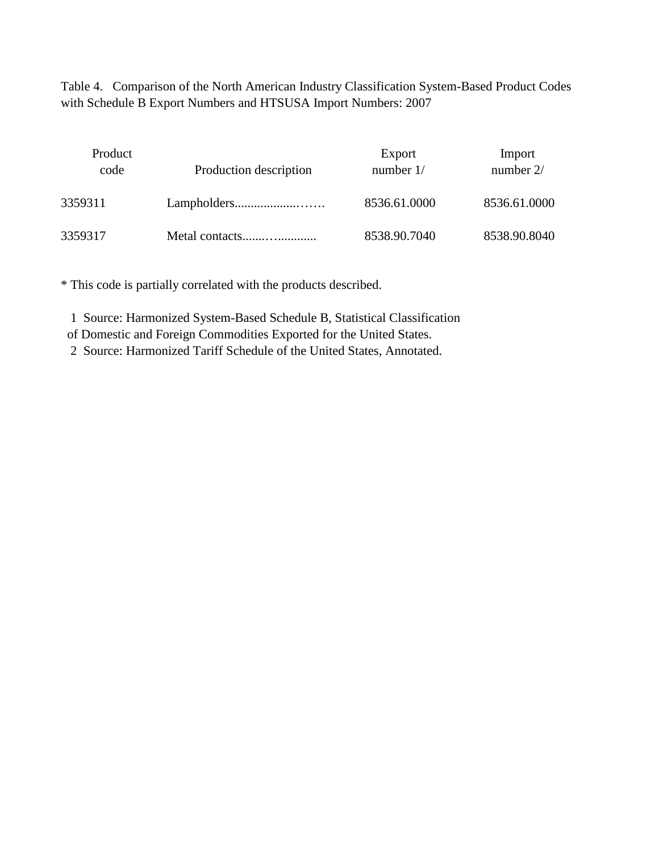Table 4. Comparison of the North American Industry Classification System-Based Product Codes with Schedule B Export Numbers and HTSUSA Import Numbers: 2007

| Product<br>code | Production description | Export<br>number $1/$ | Import<br>number $2/$ |
|-----------------|------------------------|-----------------------|-----------------------|
| 3359311         |                        | 8536.61.0000          | 8536.61.0000          |
| 3359317         | Metal contacts         | 8538.90.7040          | 8538.90.8040          |

\* This code is partially correlated with the products described.

1 Source: Harmonized System-Based Schedule B, Statistical Classification

of Domestic and Foreign Commodities Exported for the United States.

2 Source: Harmonized Tariff Schedule of the United States, Annotated.